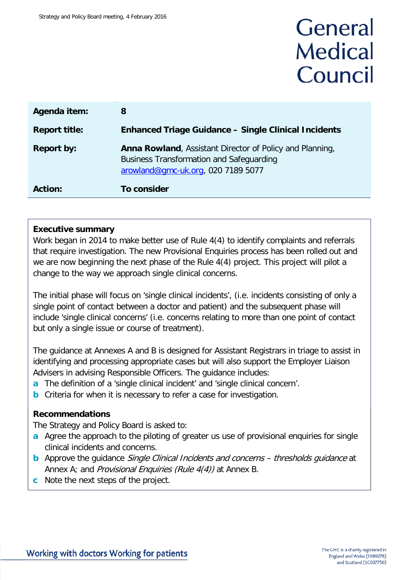# General **Medical** Council

| Agenda item:         | 8                                                                                                                                                 |
|----------------------|---------------------------------------------------------------------------------------------------------------------------------------------------|
| <b>Report title:</b> | <b>Enhanced Triage Guidance – Single Clinical Incidents</b>                                                                                       |
| <b>Report by:</b>    | Anna Rowland, Assistant Director of Policy and Planning,<br><b>Business Transformation and Safeguarding</b><br>arowland@gmc-uk.org, 020 7189 5077 |
| <b>Action:</b>       | <b>To consider</b>                                                                                                                                |

### **Executive summary**

Work began in 2014 to make better use of Rule 4(4) to identify complaints and referrals that require investigation. The new Provisional Enquiries process has been rolled out and we are now beginning the next phase of the Rule 4(4) project. This project will pilot a change to the way we approach single clinical concerns.

The initial phase will focus on 'single clinical incidents', (i.e. incidents consisting of only a single point of contact between a doctor and patient) and the subsequent phase will include 'single clinical concerns' (i.e. concerns relating to more than one point of contact but only a single issue or course of treatment).

The guidance at Annexes A and B is designed for Assistant Registrars in triage to assist in identifying and processing appropriate cases but will also support the Employer Liaison Advisers in advising Responsible Officers. The guidance includes:

- **a** The definition of a 'single clinical incident' and 'single clinical concern'.
- **b** Criteria for when it is necessary to refer a case for investigation.

### **Recommendations**

The Strategy and Policy Board is asked to:

- **a** Agree the approach to the piloting of greater us use of provisional enquiries for single clinical incidents and concerns.
- **b** Approve the guidance *Single Clinical Incidents and concerns thresholds guidance* at Annex A; and *Provisional Enquiries (Rule 4(4))* at Annex B.
- **c** Note the next steps of the project.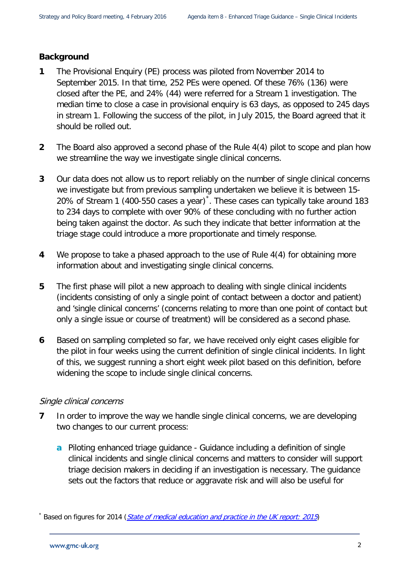### **Background**

- **1** The Provisional Enquiry (PE) process was piloted from November 2014 to September 2015. In that time, 252 PEs were opened. Of these 76% (136) were closed after the PE, and 24% (44) were referred for a Stream 1 investigation. The median time to close a case in provisional enquiry is 63 days, as opposed to 245 days in stream 1. Following the success of the pilot, in July 2015, the Board agreed that it should be rolled out.
- **2** The Board also approved a second phase of the Rule 4(4) pilot to scope and plan how we streamline the way we investigate single clinical concerns.
- **3** Our data does not allow us to report reliably on the number of single clinical concerns we investigate but from previous sampling undertaken we believe it is between 15- 20% of Stream 1 (400-550 cases a year)[\\*](#page-1-0) . These cases can typically take around 183 to 234 days to complete with over 90% of these concluding with no further action being taken against the doctor. As such they indicate that better information at the triage stage could introduce a more proportionate and timely response.
- **4** We propose to take a phased approach to the use of Rule 4(4) for obtaining more information about and investigating single clinical concerns.
- **5** The first phase will pilot a new approach to dealing with single clinical incidents (incidents consisting of only a single point of contact between a doctor and patient) and 'single clinical concerns' (concerns relating to more than one point of contact but only a single issue or course of treatment) will be considered as a second phase.
- **6** Based on sampling completed so far, we have received only eight cases eligible for the pilot in four weeks using the current definition of single clinical incidents. In light of this, we suggest running a short eight week pilot based on this definition, before widening the scope to include single clinical concerns.

### Single clinical concerns

- **7** In order to improve the way we handle single clinical concerns, we are developing two changes to our current process:
	- **a** Piloting enhanced triage guidance Guidance including a definition of single clinical incidents and single clinical concerns and matters to consider will support triage decision makers in deciding if an investigation is necessary. The guidance sets out the factors that reduce or aggravate risk and will also be useful for

<span id="page-1-0"></span>Based on figures for 2014 ([State of medical education and practice in the UK report: 2015](http://www.gmc-uk.org/publications/somep2015.asp))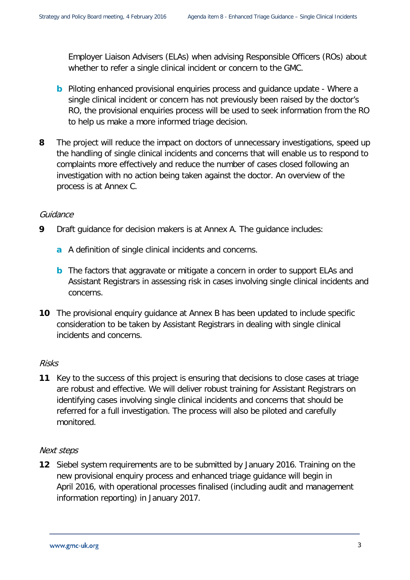Employer Liaison Advisers (ELAs) when advising Responsible Officers (ROs) about whether to refer a single clinical incident or concern to the GMC.

- **b** Piloting enhanced provisional enquiries process and quidance update Where a single clinical incident or concern has not previously been raised by the doctor's RO, the provisional enquiries process will be used to seek information from the RO to help us make a more informed triage decision.
- **8** The project will reduce the impact on doctors of unnecessary investigations, speed up the handling of single clinical incidents and concerns that will enable us to respond to complaints more effectively and reduce the number of cases closed following an investigation with no action being taken against the doctor. An overview of the process is at Annex C.

### Guidance

- **9** Draft guidance for decision makers is at Annex A. The guidance includes:
	- **a** A definition of single clinical incidents and concerns.
	- **b** The factors that aggravate or mitigate a concern in order to support ELAs and Assistant Registrars in assessing risk in cases involving single clinical incidents and concerns.
- **10** The provisional enquiry guidance at Annex B has been updated to include specific consideration to be taken by Assistant Registrars in dealing with single clinical incidents and concerns.

### Risks

**11** Key to the success of this project is ensuring that decisions to close cases at triage are robust and effective. We will deliver robust training for Assistant Registrars on identifying cases involving single clinical incidents and concerns that should be referred for a full investigation. The process will also be piloted and carefully monitored.

### Next steps

**12** Siebel system requirements are to be submitted by January 2016. Training on the new provisional enquiry process and enhanced triage guidance will begin in April 2016, with operational processes finalised (including audit and management information reporting) in January 2017.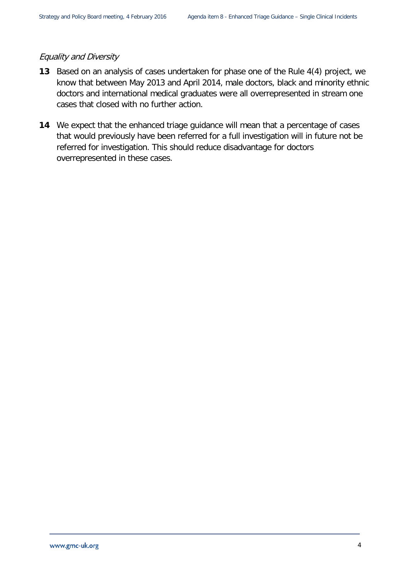### Equality and Diversity

- **13** Based on an analysis of cases undertaken for phase one of the Rule 4(4) project, we know that between May 2013 and April 2014, male doctors, black and minority ethnic doctors and international medical graduates were all overrepresented in stream one cases that closed with no further action.
- **14** We expect that the enhanced triage guidance will mean that a percentage of cases that would previously have been referred for a full investigation will in future not be referred for investigation. This should reduce disadvantage for doctors overrepresented in these cases.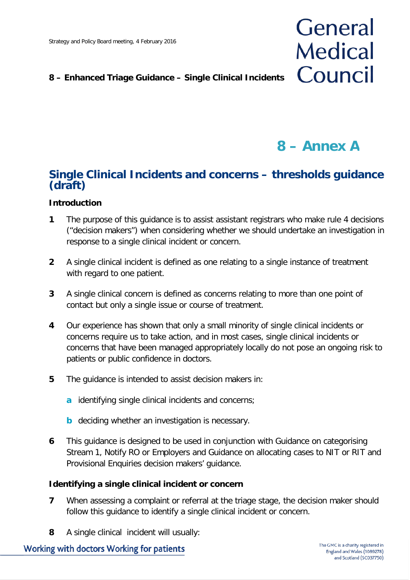### **8 – Enhanced Triage Guidance – Single Clinical Incidents**

# **8 – Annex A**

General

**Medical** 

Council

### **Single Clinical Incidents and concerns – thresholds guidance (draft)**

### **Introduction**

- **1** The purpose of this guidance is to assist assistant registrars who make rule 4 decisions ("decision makers") when considering whether we should undertake an investigation in response to a single clinical incident or concern.
- **2** A single clinical incident is defined as one relating to a single instance of treatment with regard to one patient.
- **3** A single clinical concern is defined as concerns relating to more than one point of contact but only a single issue or course of treatment.
- **4** Our experience has shown that only a small minority of single clinical incidents or concerns require us to take action, and in most cases, single clinical incidents or concerns that have been managed appropriately locally do not pose an ongoing risk to patients or public confidence in doctors.
- **5** The guidance is intended to assist decision makers in:
	- **a** identifying single clinical incidents and concerns;
	- **b** deciding whether an investigation is necessary.
- **6** This guidance is designed to be used in conjunction with Guidance on categorising Stream 1, Notify RO or Employers and Guidance on allocating cases to NIT or RIT and Provisional Enquiries decision makers' guidance.

### **Identifying a single clinical incident or concern**

- **7** When assessing a complaint or referral at the triage stage, the decision maker should follow this guidance to identify a single clinical incident or concern.
- **8** A single clinical incident will usually: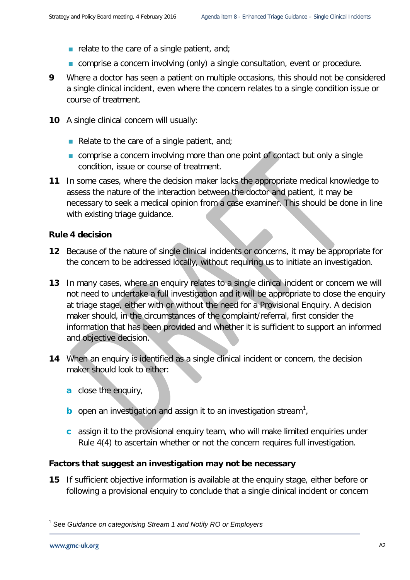- relate to the care of a single patient, and;
- **EX** comprise a concern involving (only) a single consultation, event or procedure.
- **9** Where a doctor has seen a patient on multiple occasions, this should not be considered a single clinical incident, even where the concern relates to a single condition issue or course of treatment.
- **10** A single clinical concern will usually:
	- Relate to the care of a single patient, and;
	- **Comprise a concern involving more than one point of contact but only a single** condition, issue or course of treatment.
- **11** In some cases, where the decision maker lacks the appropriate medical knowledge to assess the nature of the interaction between the doctor and patient, it may be necessary to seek a medical opinion from a case examiner. This should be done in line with existing triage guidance.

#### **Rule 4 decision**

- **12** Because of the nature of single clinical incidents or concerns, it may be appropriate for the concern to be addressed locally, without requiring us to initiate an investigation.
- **13** In many cases, where an enquiry relates to a single clinical incident or concern we will not need to undertake a full investigation and it will be appropriate to close the enquiry at triage stage, either with or without the need for a Provisional Enquiry. A decision maker should, in the circumstances of the complaint/referral, first consider the information that has been provided and whether it is sufficient to support an informed and objective decision.
- **14** When an enquiry is identified as a single clinical incident or concern, the decision maker should look to either:
	- **a** close the enquiry,
	- **b** open an investigation and assign it to an investigation stream<sup>[1](#page-5-0)</sup>,
	- **c** assign it to the provisional enquiry team, who will make limited enquiries under Rule 4(4) to ascertain whether or not the concern requires full investigation.

#### **Factors that suggest an investigation may not be necessary**

**15** If sufficient objective information is available at the enquiry stage, either before or following a provisional enquiry to conclude that a single clinical incident or concern

<span id="page-5-0"></span><sup>1</sup> See *Guidance on categorising Stream 1 and Notify RO or Employers*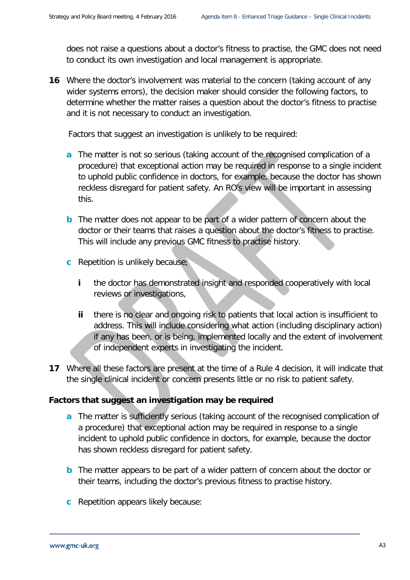does not raise a questions about a doctor's fitness to practise, the GMC does not need to conduct its own investigation and local management is appropriate.

**16** Where the doctor's involvement was material to the concern (taking account of any wider systems errors), the decision maker should consider the following factors, to determine whether the matter raises a question about the doctor's fitness to practise and it is not necessary to conduct an investigation.

Factors that suggest an investigation is unlikely to be required:

- **a** The matter is not so serious (taking account of the recognised complication of a procedure) that exceptional action may be required in response to a single incident to uphold public confidence in doctors, for example, because the doctor has shown reckless disregard for patient safety. An RO's view will be important in assessing this.
- **b** The matter does not appear to be part of a wider pattern of concern about the doctor or their teams that raises a question about the doctor's fitness to practise. This will include any previous GMC fitness to practise history.
- **c** Repetition is unlikely because;
	- **i** the doctor has demonstrated insight and responded cooperatively with local reviews or investigations,
	- **ii** there is no clear and ongoing risk to patients that local action is insufficient to address. This will include considering what action (including disciplinary action) if any has been, or is being, implemented locally and the extent of involvement of independent experts in investigating the incident.
- **17** Where all these factors are present at the time of a Rule 4 decision, it will indicate that the single clinical incident or concern presents little or no risk to patient safety.

### **Factors that suggest an investigation may be required**

- **a** The matter is sufficiently serious (taking account of the recognised complication of a procedure) that exceptional action may be required in response to a single incident to uphold public confidence in doctors, for example, because the doctor has shown reckless disregard for patient safety.
- **b** The matter appears to be part of a wider pattern of concern about the doctor or their teams, including the doctor's previous fitness to practise history.
- **c** Repetition appears likely because: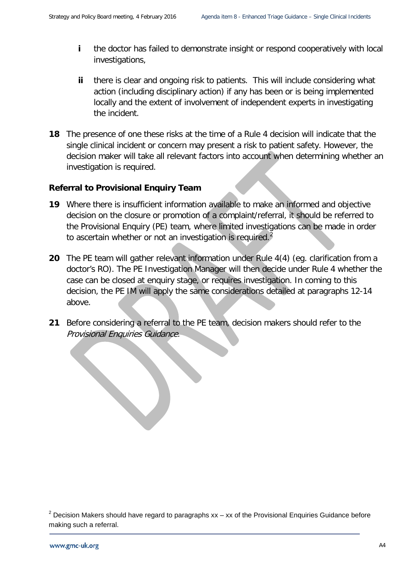- **i** the doctor has failed to demonstrate insight or respond cooperatively with local investigations,
- **ii** there is clear and ongoing risk to patients. This will include considering what action (including disciplinary action) if any has been or is being implemented locally and the extent of involvement of independent experts in investigating the incident.
- **18** The presence of one these risks at the time of a Rule 4 decision will indicate that the single clinical incident or concern may present a risk to patient safety. However, the decision maker will take all relevant factors into account when determining whether an investigation is required.

### **Referral to Provisional Enquiry Team**

- **19** Where there is insufficient information available to make an informed and objective decision on the closure or promotion of a complaint/referral, it should be referred to the Provisional Enquiry (PE) team, where limited investigations can be made in order to ascertain whether or not an investigation is required.<sup>[2](#page-7-0)</sup>
- **20** The PE team will gather relevant information under Rule 4(4) (eg. clarification from a doctor's RO). The PE Investigation Manager will then decide under Rule 4 whether the case can be closed at enquiry stage, or requires investigation. In coming to this decision, the PE IM will apply the same considerations detailed at paragraphs 12-14 above.
- **21** Before considering a referral to the PE team, decision makers should refer to the Provisional Enquiries Guidance.

<span id="page-7-0"></span> $2$  Decision Makers should have regard to paragraphs xx – xx of the Provisional Enquiries Guidance before making such a referral.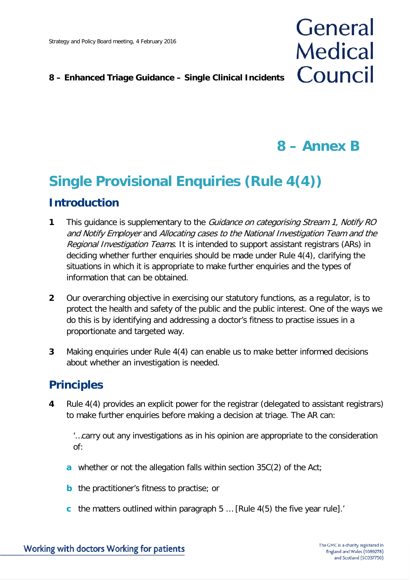### **8 – Enhanced Triage Guidance – Single Clinical Incidents**

## **8 – Annex B**

General

**Medical** 

Council

# **Single Provisional Enquiries (Rule 4(4)) Introduction**

- **1** This guidance is supplementary to the *Guidance on categorising Stream 1, Notify RO* and Notify Employer and Allocating cases to the National Investigation Team and the Regional Investigation Teams. It is intended to support assistant registrars (ARs) in deciding whether further enquiries should be made under Rule 4(4), clarifying the situations in which it is appropriate to make further enquiries and the types of information that can be obtained.
- **2** Our overarching objective in exercising our statutory functions, as a regulator, is to protect the health and safety of the public and the public interest. One of the ways we do this is by identifying and addressing a doctor's fitness to practise issues in a proportionate and targeted way.
- **3** Making enquiries under Rule 4(4) can enable us to make better informed decisions about whether an investigation is needed.

### **Principles**

**4** Rule 4(4) provides an explicit power for the registrar (delegated to assistant registrars) to make further enquiries before making a decision at triage. The AR can:

'…carry out any investigations as in his opinion are appropriate to the consideration of:

- **a** whether or not the allegation falls within section 35C(2) of the Act;
- **b** the practitioner's fitness to practise; or
- **c** the matters outlined within paragraph 5 … [Rule 4(5) the five year rule].'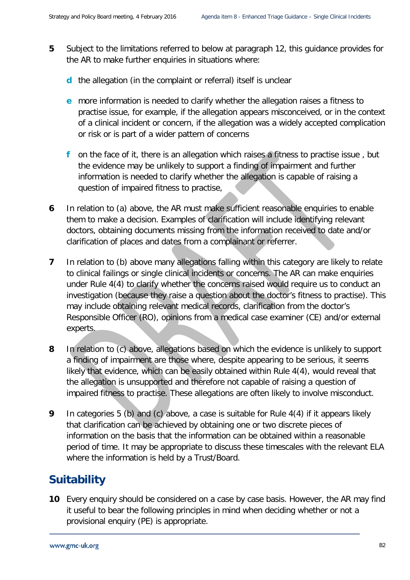- **5** Subject to the limitations referred to below at paragraph 12, this guidance provides for the AR to make further enquiries in situations where:
	- **d** the allegation (in the complaint or referral) itself is unclear
	- **e** more information is needed to clarify whether the allegation raises a fitness to practise issue, for example, if the allegation appears misconceived, or in the context of a clinical incident or concern, if the allegation was a widely accepted complication or risk or is part of a wider pattern of concerns
	- **f** on the face of it, there is an allegation which raises a fitness to practise issue , but the evidence may be unlikely to support a finding of impairment and further information is needed to clarify whether the allegation is capable of raising a question of impaired fitness to practise,
- **6** In relation to (a) above, the AR must make sufficient reasonable enquiries to enable them to make a decision. Examples of clarification will include identifying relevant doctors, obtaining documents missing from the information received to date and/or clarification of places and dates from a complainant or referrer.
- **7** In relation to (b) above many allegations falling within this category are likely to relate to clinical failings or single clinical incidents or concerns. The AR can make enquiries under Rule 4(4) to clarify whether the concerns raised would require us to conduct an investigation (because they raise a question about the doctor's fitness to practise). This may include obtaining relevant medical records, clarification from the doctor's Responsible Officer (RO), opinions from a medical case examiner (CE) and/or external experts.
- **8** In relation to (c) above, allegations based on which the evidence is unlikely to support a finding of impairment are those where, despite appearing to be serious, it seems likely that evidence, which can be easily obtained within Rule 4(4), would reveal that the allegation is unsupported and therefore not capable of raising a question of impaired fitness to practise. These allegations are often likely to involve misconduct.
- **9** In categories 5 (b) and (c) above, a case is suitable for Rule 4(4) if it appears likely that clarification can be achieved by obtaining one or two discrete pieces of information on the basis that the information can be obtained within a reasonable period of time. It may be appropriate to discuss these timescales with the relevant ELA where the information is held by a Trust/Board.

### **Suitability**

**10** Every enquiry should be considered on a case by case basis. However, the AR may find it useful to bear the following principles in mind when deciding whether or not a provisional enquiry (PE) is appropriate.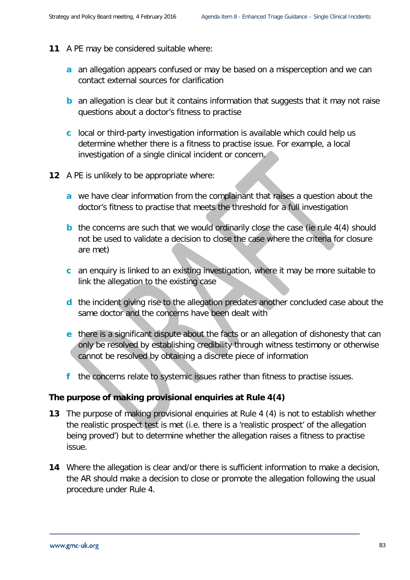- **11** A PE may be considered suitable where:
	- **a** an allegation appears confused or may be based on a misperception and we can contact external sources for clarification
	- **b** an allegation is clear but it contains information that suggests that it may not raise questions about a doctor's fitness to practise
	- **c** local or third-party investigation information is available which could help us determine whether there is a fitness to practise issue. For example, a local investigation of a single clinical incident or concern.
- **12** A PE is unlikely to be appropriate where:
	- **a** we have clear information from the complainant that raises a question about the doctor's fitness to practise that meets the threshold for a full investigation
	- **b** the concerns are such that we would ordinarily close the case (ie rule 4(4) should not be used to validate a decision to close the case where the criteria for closure are met)
	- **c** an enquiry is linked to an existing investigation, where it may be more suitable to link the allegation to the existing case
	- **d** the incident giving rise to the allegation predates another concluded case about the same doctor and the concerns have been dealt with
	- **e** there is a significant dispute about the facts or an allegation of dishonesty that can only be resolved by establishing credibility through witness testimony or otherwise cannot be resolved by obtaining a discrete piece of information
	- **f** the concerns relate to systemic issues rather than fitness to practise issues.

### **The purpose of making provisional enquiries at Rule 4(4)**

- **13** The purpose of making provisional enquiries at Rule 4 (4) is not to establish whether the realistic prospect test is met (i.e. there is a 'realistic prospect' of the allegation being proved') but to determine whether the allegation raises a fitness to practise issue.
- **14** Where the allegation is clear and/or there is sufficient information to make a decision, the AR should make a decision to close or promote the allegation following the usual procedure under Rule 4.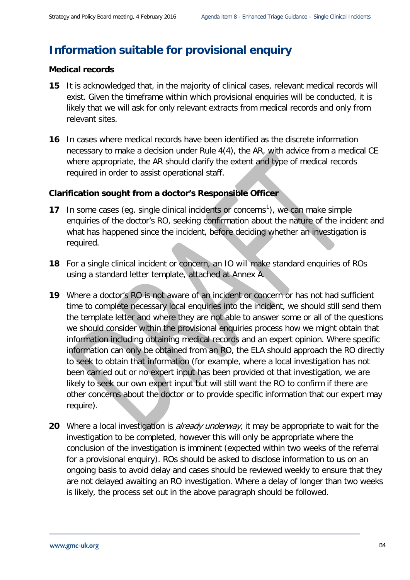### **Information suitable for provisional enquiry**

### **Medical records**

- **15** It is acknowledged that, in the majority of clinical cases, relevant medical records will exist. Given the timeframe within which provisional enquiries will be conducted, it is likely that we will ask for only relevant extracts from medical records and only from relevant sites.
- **16** In cases where medical records have been identified as the discrete information necessary to make a decision under Rule 4(4), the AR, with advice from a medical CE where appropriate, the AR should clarify the extent and type of medical records required in order to assist operational staff.

### **Clarification sought from a doctor's Responsible Officer**

- **[1](#page-11-0)7** In some cases (eg. single clinical incidents or concerns<sup>1</sup>), we can make simple enquiries of the doctor's RO, seeking confirmation about the nature of the incident and what has happened since the incident, before deciding whether an investigation is required.
- **18** For a single clinical incident or concern, an IO will make standard enquiries of ROs using a standard letter template, attached at Annex A.
- **19** Where a doctor's RO is not aware of an incident or concern or has not had sufficient time to complete necessary local enquiries into the incident, we should still send them the template letter and where they are not able to answer some or all of the questions we should consider within the provisional enquiries process how we might obtain that information including obtaining medical records and an expert opinion. Where specific information can only be obtained from an RO, the ELA should approach the RO directly to seek to obtain that information (for example, where a local investigation has not been carried out or no expert input has been provided ot that investigation, we are likely to seek our own expert input but will still want the RO to confirm if there are other concerns about the doctor or to provide specific information that our expert may require).
- <span id="page-11-0"></span>20 Where a local investigation is *already underway*, it may be appropriate to wait for the investigation to be completed, however this will only be appropriate where the conclusion of the investigation is imminent (expected within two weeks of the referral for a provisional enquiry). ROs should be asked to disclose information to us on an ongoing basis to avoid delay and cases should be reviewed weekly to ensure that they are not delayed awaiting an RO investigation. Where a delay of longer than two weeks is likely, the process set out in the above paragraph should be followed.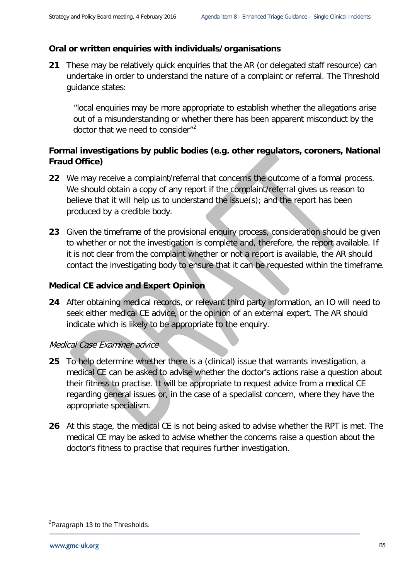### **Oral or written enquiries with individuals/organisations**

**21** These may be relatively quick enquiries that the AR (or delegated staff resource) can undertake in order to understand the nature of a complaint or referral. The Threshold guidance states:

"local enquiries may be more appropriate to establish whether the allegations arise out of a misunderstanding or whether there has been apparent misconduct by the doctor that we need to consider"<sup>[2](#page-12-0)</sup>

### **Formal investigations by public bodies (e.g. other regulators, coroners, National Fraud Office)**

- **22** We may receive a complaint/referral that concerns the outcome of a formal process. We should obtain a copy of any report if the complaint/referral gives us reason to believe that it will help us to understand the issue(s); and the report has been produced by a credible body.
- **23** Given the timeframe of the provisional enquiry process, consideration should be given to whether or not the investigation is complete and, therefore, the report available. If it is not clear from the complaint whether or not a report is available, the AR should contact the investigating body to ensure that it can be requested within the timeframe.

### **Medical CE advice and Expert Opinion**

**24** After obtaining medical records, or relevant third party information, an IO will need to seek either medical CE advice, or the opinion of an external expert. The AR should indicate which is likely to be appropriate to the enquiry.

### Medical Case Examiner advice

- **25** To help determine whether there is a (clinical) issue that warrants investigation, a medical CE can be asked to advise whether the doctor's actions raise a question about their fitness to practise. It will be appropriate to request advice from a medical CE regarding general issues or, in the case of a specialist concern, where they have the appropriate specialism.
- **26** At this stage, the medical CE is not being asked to advise whether the RPT is met. The medical CE may be asked to advise whether the concerns raise a question about the doctor's fitness to practise that requires further investigation.

<span id="page-12-0"></span><sup>&</sup>lt;sup>2</sup>Paragraph 13 to the Thresholds.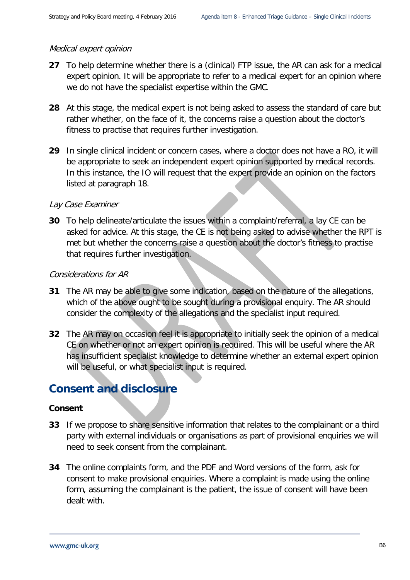### Medical expert opinion

- **27** To help determine whether there is a (clinical) FTP issue, the AR can ask for a medical expert opinion. It will be appropriate to refer to a medical expert for an opinion where we do not have the specialist expertise within the GMC.
- **28** At this stage, the medical expert is not being asked to assess the standard of care but rather whether, on the face of it, the concerns raise a question about the doctor's fitness to practise that requires further investigation.
- **29** In single clinical incident or concern cases, where a doctor does not have a RO, it will be appropriate to seek an independent expert opinion supported by medical records. In this instance, the IO will request that the expert provide an opinion on the factors listed at paragraph 18.

### Lay Case Examiner

**30** To help delineate/articulate the issues within a complaint/referral, a lay CE can be asked for advice. At this stage, the CE is not being asked to advise whether the RPT is met but whether the concerns raise a question about the doctor's fitness to practise that requires further investigation.

### Considerations for AR

- **31** The AR may be able to give some indication, based on the nature of the allegations, which of the above ought to be sought during a provisional enquiry. The AR should consider the complexity of the allegations and the specialist input required.
- **32** The AR may on occasion feel it is appropriate to initially seek the opinion of a medical CE on whether or not an expert opinion is required. This will be useful where the AR has insufficient specialist knowledge to determine whether an external expert opinion will be useful, or what specialist input is required.

### **Consent and disclosure**

### **Consent**

- **33** If we propose to share sensitive information that relates to the complainant or a third party with external individuals or organisations as part of provisional enquiries we will need to seek consent from the complainant.
- **34** The online complaints form, and the PDF and Word versions of the form, ask for consent to make provisional enquiries. Where a complaint is made using the online form, assuming the complainant is the patient, the issue of consent will have been dealt with.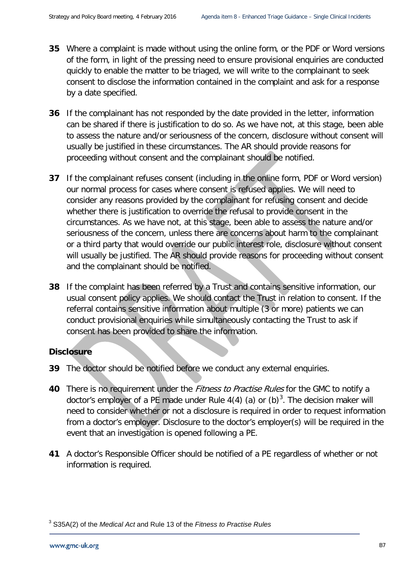- **35** Where a complaint is made without using the online form, or the PDF or Word versions of the form, in light of the pressing need to ensure provisional enquiries are conducted quickly to enable the matter to be triaged, we will write to the complainant to seek consent to disclose the information contained in the complaint and ask for a response by a date specified.
- **36** If the complainant has not responded by the date provided in the letter, information can be shared if there is justification to do so. As we have not, at this stage, been able to assess the nature and/or seriousness of the concern, disclosure without consent will usually be justified in these circumstances. The AR should provide reasons for proceeding without consent and the complainant should be notified.
- **37** If the complainant refuses consent (including in the online form, PDF or Word version) our normal process for cases where consent is refused applies. We will need to consider any reasons provided by the complainant for refusing consent and decide whether there is justification to override the refusal to provide consent in the circumstances. As we have not, at this stage, been able to assess the nature and/or seriousness of the concern, unless there are concerns about harm to the complainant or a third party that would override our public interest role, disclosure without consent will usually be justified. The AR should provide reasons for proceeding without consent and the complainant should be notified.
- **38** If the complaint has been referred by a Trust and contains sensitive information, our usual consent policy applies. We should contact the Trust in relation to consent. If the referral contains sensitive information about multiple (3 or more) patients we can conduct provisional enquiries while simultaneously contacting the Trust to ask if consent has been provided to share the information.

### **Disclosure**

- **39** The doctor should be notified before we conduct any external enquiries.
- **40** There is no requirement under the Fitness to Practise Rules for the GMC to notify a doctor's employer of a PE made under Rule  $4(4)$  (a) or (b)<sup>[3](#page-14-0)</sup>. The decision maker will need to consider whether or not a disclosure is required in order to request information from a doctor's employer. Disclosure to the doctor's employer(s) will be required in the event that an investigation is opened following a PE.
- **41** A doctor's Responsible Officer should be notified of a PE regardless of whether or not information is required.

<span id="page-14-0"></span><sup>3</sup> S35A(2) of the *Medical Act* and Rule 13 of the *Fitness to Practise Rules*